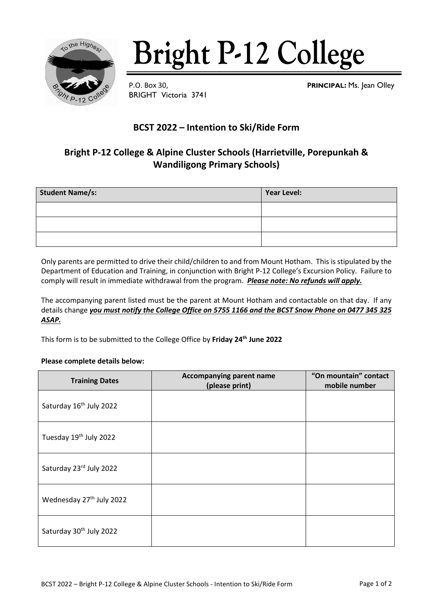

# **Bright P-12 College**

BRIGHT Victoria 3741

P.O. Box 30, **PRINCIPAL:** Ms. Jean Olley

### **BCST 2022 – Intention to Ski/Ride Form**

## **Bright P-12 College & Alpine Cluster Schools (Harrietville, Porepunkah & Wandiligong Primary Schools)**

| <b>Student Name/s:</b> | Year Level: |
|------------------------|-------------|
|                        |             |
|                        |             |
|                        |             |

Only parents are permitted to drive their child/children to and from Mount Hotham. This is stipulated by the Department of Education and Training, in conjunction with Bright P-12 College's Excursion Policy. Failure to comply will result in immediate withdrawal from the program. *Please note: No refunds will apply.*

The accompanying parent listed must be the parent at Mount Hotham and contactable on that day. If any details change *you must notify the College Office on 5755 1166 and the BCST Snow Phone on 0477 345 325 ASAP.*

This form is to be submitted to the College Office by **Friday 24th June 2022**

#### **Please complete details below:**

| <b>Training Dates</b>                | Accompanying parent name<br>(please print) | "On mountain" contact<br>mobile number |  |
|--------------------------------------|--------------------------------------------|----------------------------------------|--|
| Saturday 16 <sup>th</sup> July 2022  |                                            |                                        |  |
| Tuesday 19th July 2022               |                                            |                                        |  |
| Saturday 23rd July 2022              |                                            |                                        |  |
| Wednesday 27 <sup>th</sup> July 2022 |                                            |                                        |  |
| Saturday 30th July 2022              |                                            |                                        |  |